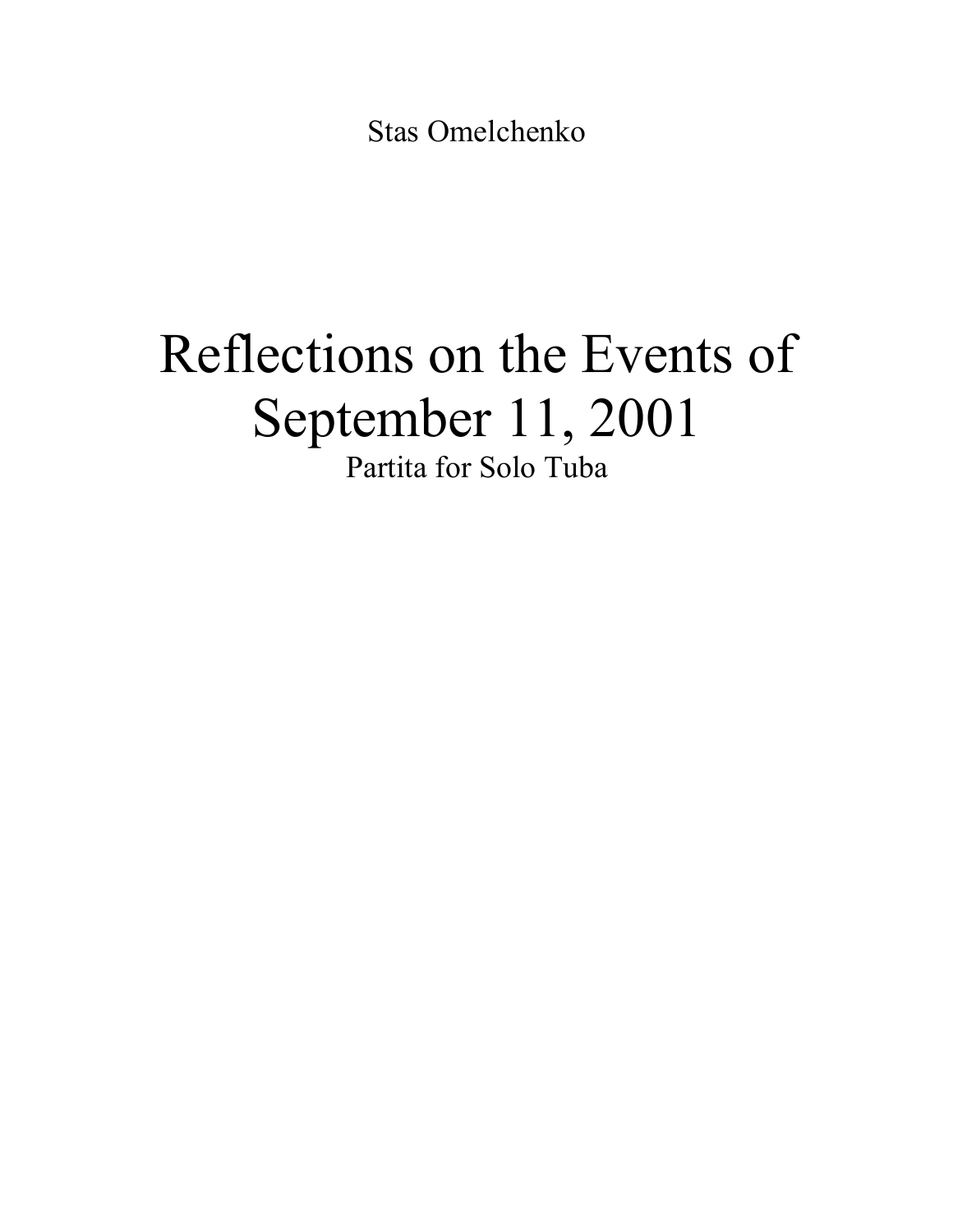Stas Omelchenko

## Reflections on the Events of September 11, 2001 Partita for Solo Tuba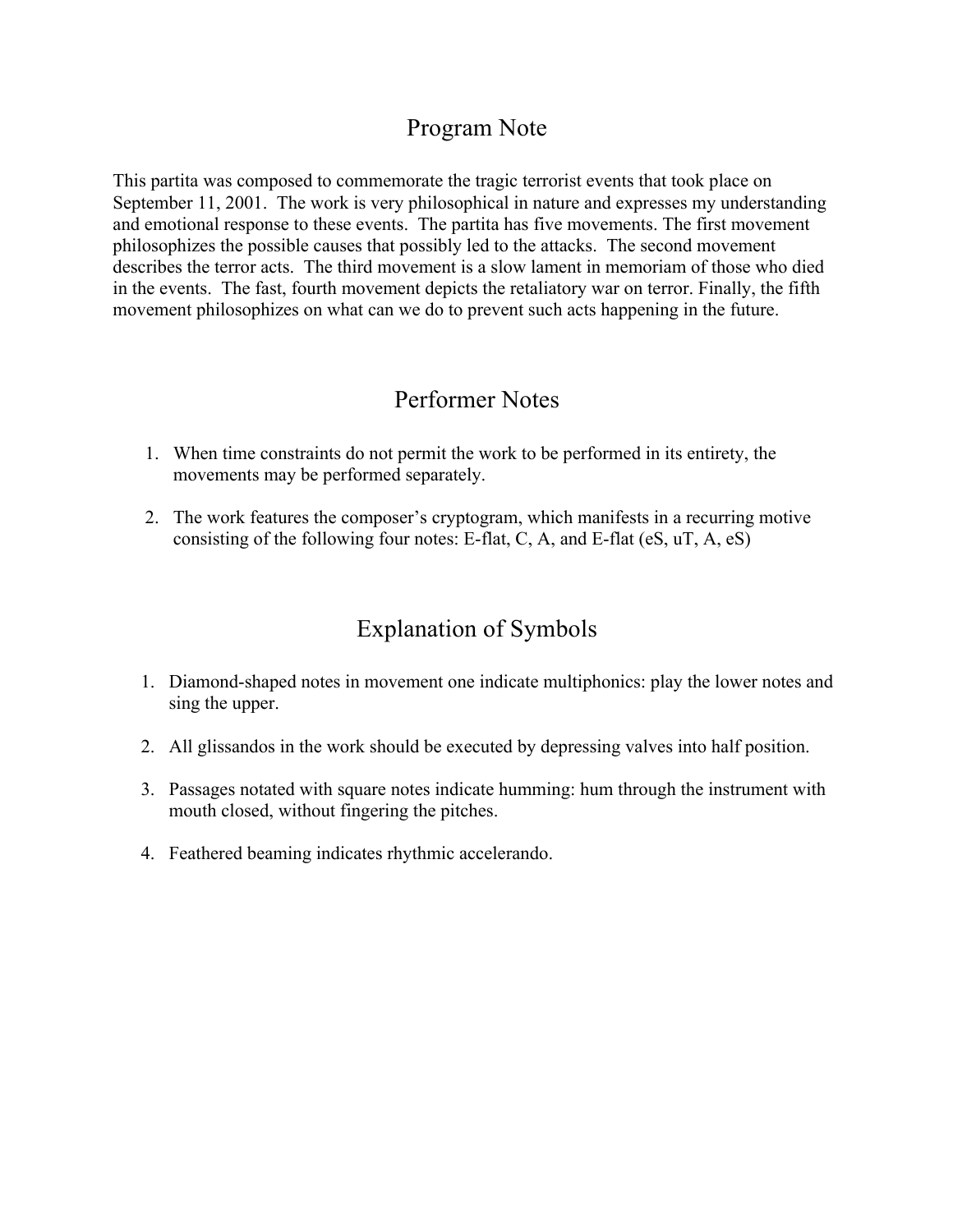## Program Note

This partita was composed to commemorate the tragic terrorist events that took place on September 11, 2001. The work is very philosophical in nature and expresses my understanding and emotional response to these events. The partita has five movements. The first movement philosophizes the possible causes that possibly led to the attacks. The second movement describes the terror acts. The third movement is a slow lament in memoriam of those who died in the events. The fast, fourth movement depicts the retaliatory war on terror. Finally, the fifth movement philosophizes on what can we do to prevent such acts happening in the future.

## Performer Notes

- 1. When time constraints do not permit the work to be performed in its entirety, the movements may be performed separately.
- 2. The work features the composer's cryptogram, which manifests in a recurring motive consisting of the following four notes: E-flat, C, A, and E-flat (eS, uT, A, eS)

## Explanation of Symbols

- 1. Diamond-shaped notes in movement one indicate multiphonics: play the lower notes and sing the upper.
- 2. All glissandos in the work should be executed by depressing valves into half position.
- 3. Passages notated with square notes indicate humming: hum through the instrument with mouth closed, without fingering the pitches.
- 4. Feathered beaming indicates rhythmic accelerando.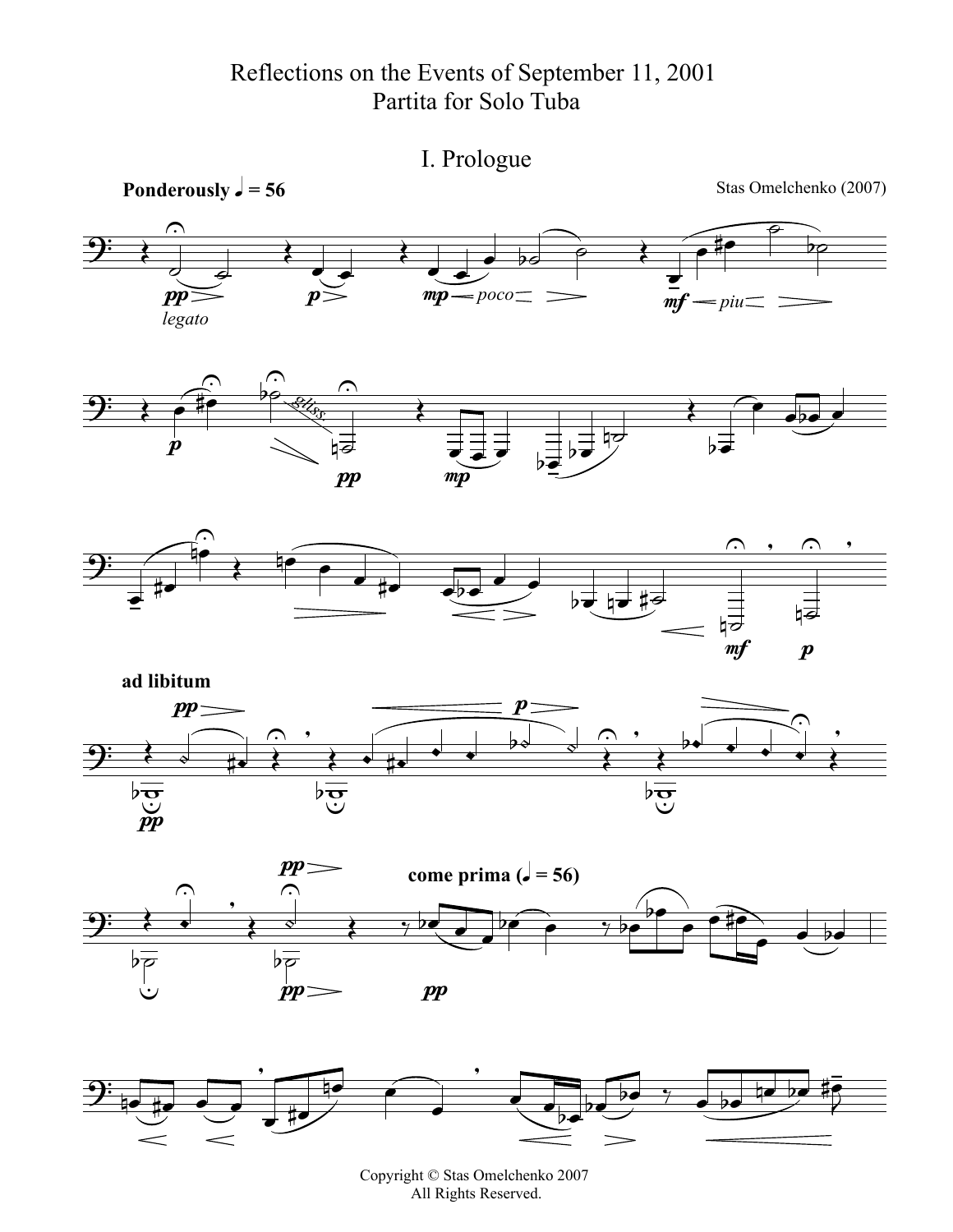Reflections on the Events of September 11, 2001 Partita for Solo Tuba



Copyright © Stas Omelchenko 2007 All Rights Reserved.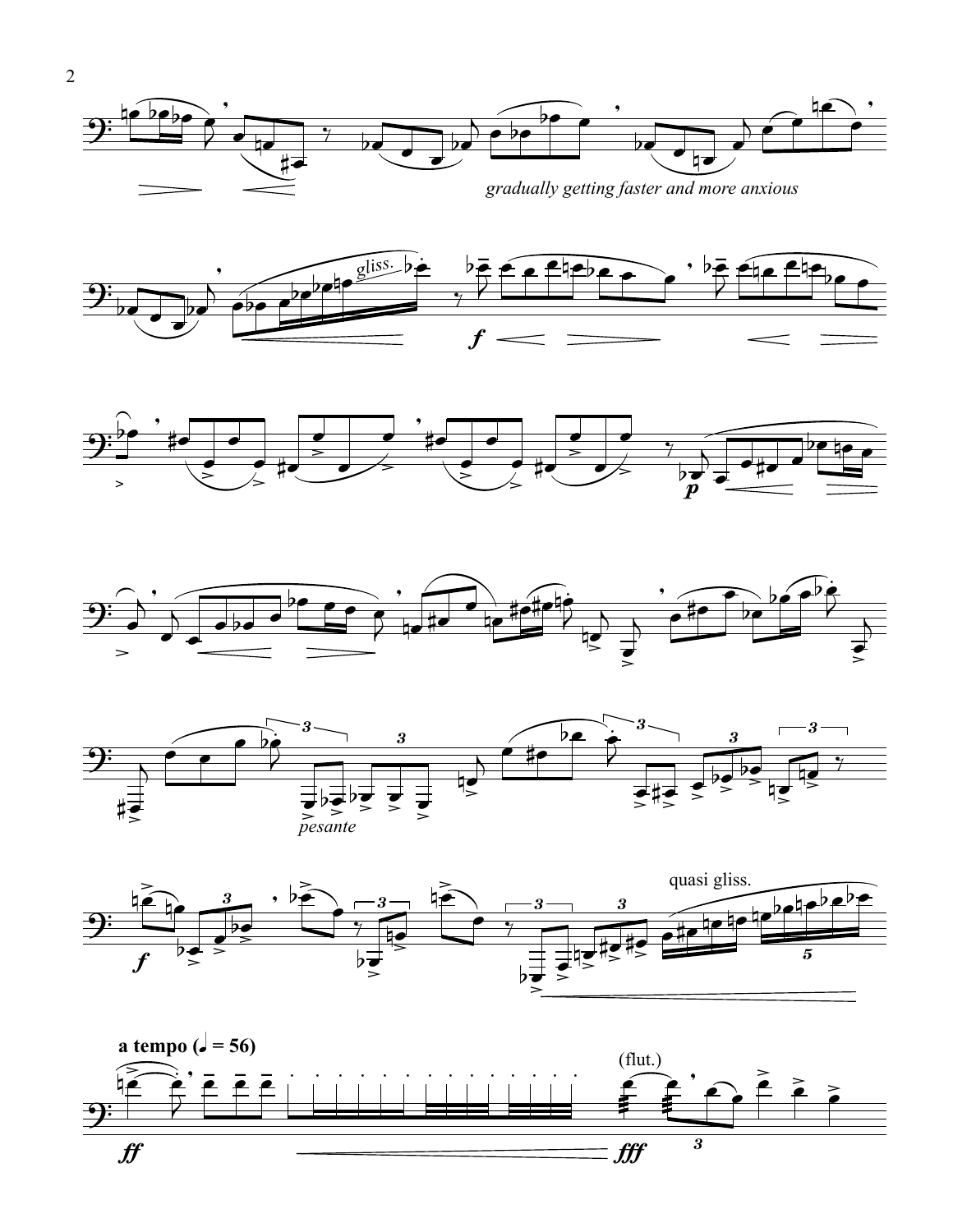